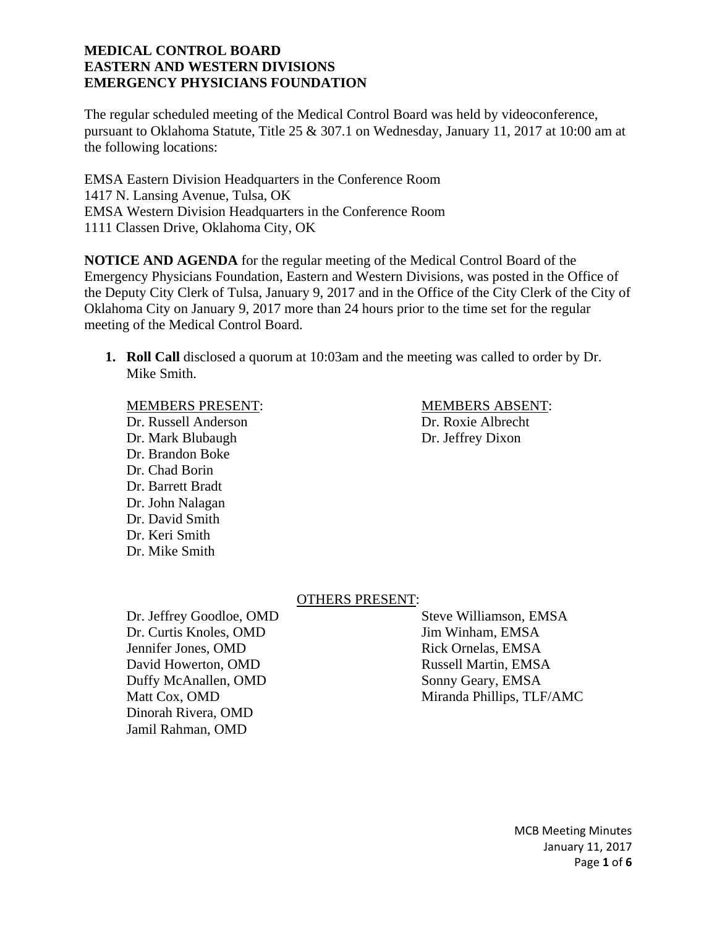The regular scheduled meeting of the Medical Control Board was held by videoconference, pursuant to Oklahoma Statute, Title 25 & 307.1 on Wednesday, January 11, 2017 at 10:00 am at the following locations:

EMSA Eastern Division Headquarters in the Conference Room 1417 N. Lansing Avenue, Tulsa, OK EMSA Western Division Headquarters in the Conference Room 1111 Classen Drive, Oklahoma City, OK

**NOTICE AND AGENDA** for the regular meeting of the Medical Control Board of the Emergency Physicians Foundation, Eastern and Western Divisions, was posted in the Office of the Deputy City Clerk of Tulsa, January 9, 2017 and in the Office of the City Clerk of the City of Oklahoma City on January 9, 2017 more than 24 hours prior to the time set for the regular meeting of the Medical Control Board.

**1. Roll Call** disclosed a quorum at 10:03am and the meeting was called to order by Dr. Mike Smith.

### MEMBERS PRESENT: MEMBERS ABSENT:

Dr. Russell Anderson Dr. Roxie Albrecht Dr. Mark Blubaugh Dr. Jeffrey Dixon Dr. Brandon Boke Dr. Chad Borin Dr. Barrett Bradt Dr. John Nalagan Dr. David Smith Dr. Keri Smith Dr. Mike Smith

## OTHERS PRESENT:

Dr. Jeffrey Goodloe, OMD Steve Williamson, EMSA Dr. Curtis Knoles, OMD Jim Winham, EMSA Jennifer Jones, OMD Rick Ornelas, EMSA David Howerton, OMD Russell Martin, EMSA Duffy McAnallen, OMD Sonny Geary, EMSA Dinorah Rivera, OMD Jamil Rahman, OMD

Matt Cox, OMD Miranda Phillips, TLF/AMC

MCB Meeting Minutes January 11, 2017 Page **1** of **6**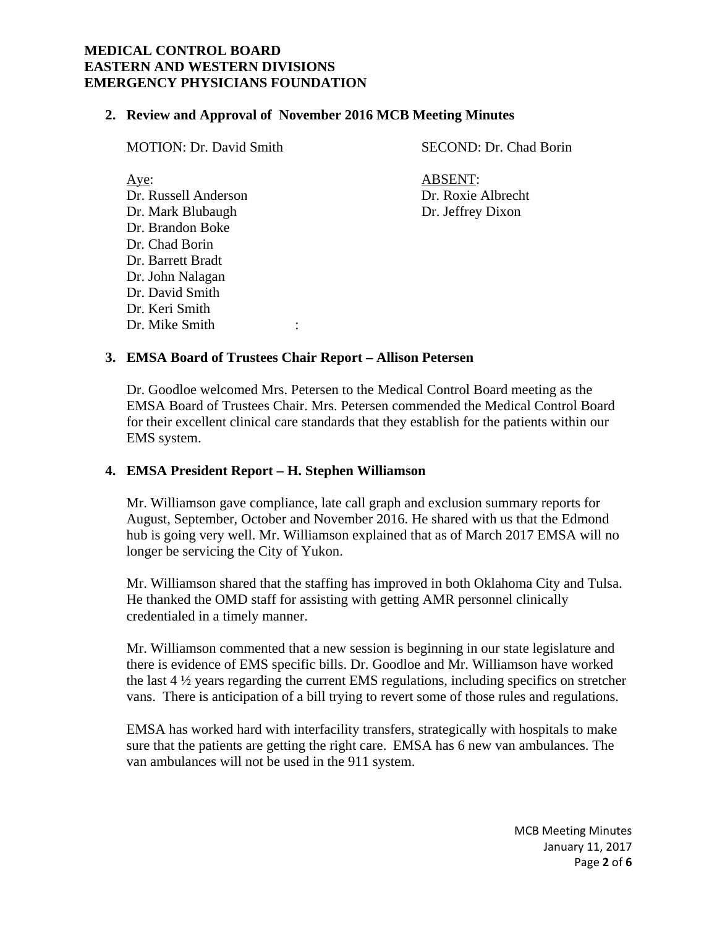Dr. John Nalagan Dr. David Smith Dr. Keri Smith

Dr. Mike Smith :

### **2. Review and Approval of November 2016 MCB Meeting Minutes**

| <b>MOTION: Dr. David Smith</b>                                                                               | SECOND: Dr. Chad Borin                                    |
|--------------------------------------------------------------------------------------------------------------|-----------------------------------------------------------|
| Aye:<br>Dr. Russell Anderson<br>Dr. Mark Blubaugh<br>Dr. Brandon Boke<br>Dr. Chad Borin<br>Dr. Barrett Bradt | <b>ABSENT:</b><br>Dr. Roxie Albrecht<br>Dr. Jeffrey Dixon |
|                                                                                                              |                                                           |

### **3. EMSA Board of Trustees Chair Report – Allison Petersen**

Dr. Goodloe welcomed Mrs. Petersen to the Medical Control Board meeting as the EMSA Board of Trustees Chair. Mrs. Petersen commended the Medical Control Board for their excellent clinical care standards that they establish for the patients within our EMS system.

### **4. EMSA President Report – H. Stephen Williamson**

Mr. Williamson gave compliance, late call graph and exclusion summary reports for August, September, October and November 2016. He shared with us that the Edmond hub is going very well. Mr. Williamson explained that as of March 2017 EMSA will no longer be servicing the City of Yukon.

Mr. Williamson shared that the staffing has improved in both Oklahoma City and Tulsa. He thanked the OMD staff for assisting with getting AMR personnel clinically credentialed in a timely manner.

Mr. Williamson commented that a new session is beginning in our state legislature and there is evidence of EMS specific bills. Dr. Goodloe and Mr. Williamson have worked the last 4 ½ years regarding the current EMS regulations, including specifics on stretcher vans. There is anticipation of a bill trying to revert some of those rules and regulations.

EMSA has worked hard with interfacility transfers, strategically with hospitals to make sure that the patients are getting the right care. EMSA has 6 new van ambulances. The van ambulances will not be used in the 911 system.

> MCB Meeting Minutes January 11, 2017 Page **2** of **6**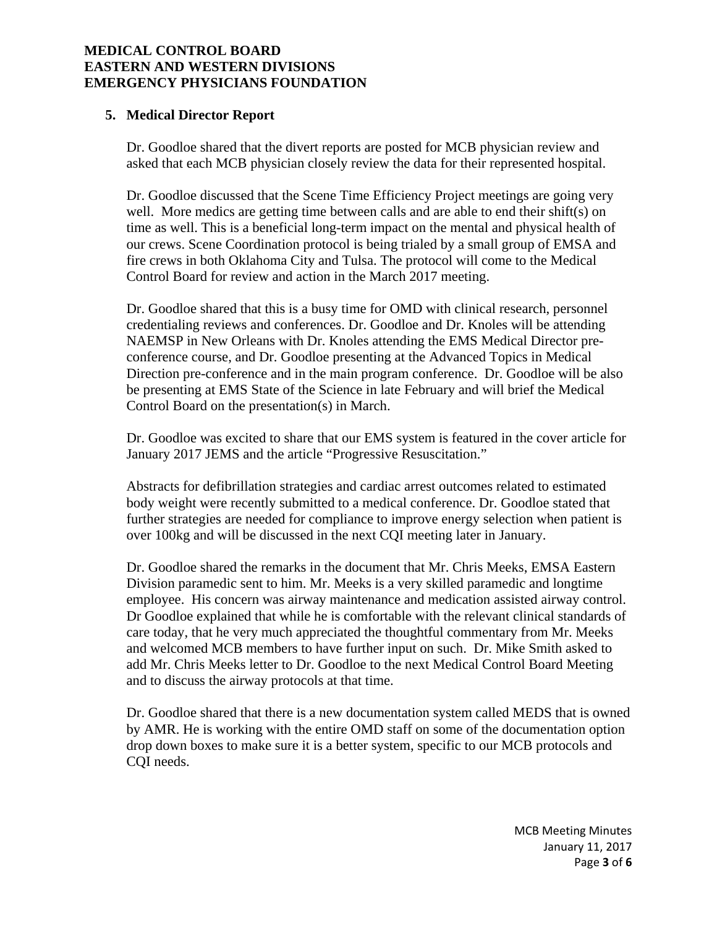## **5. Medical Director Report**

Dr. Goodloe shared that the divert reports are posted for MCB physician review and asked that each MCB physician closely review the data for their represented hospital.

Dr. Goodloe discussed that the Scene Time Efficiency Project meetings are going very well. More medics are getting time between calls and are able to end their shift(s) on time as well. This is a beneficial long-term impact on the mental and physical health of our crews. Scene Coordination protocol is being trialed by a small group of EMSA and fire crews in both Oklahoma City and Tulsa. The protocol will come to the Medical Control Board for review and action in the March 2017 meeting.

Dr. Goodloe shared that this is a busy time for OMD with clinical research, personnel credentialing reviews and conferences. Dr. Goodloe and Dr. Knoles will be attending NAEMSP in New Orleans with Dr. Knoles attending the EMS Medical Director preconference course, and Dr. Goodloe presenting at the Advanced Topics in Medical Direction pre-conference and in the main program conference. Dr. Goodloe will be also be presenting at EMS State of the Science in late February and will brief the Medical Control Board on the presentation(s) in March.

Dr. Goodloe was excited to share that our EMS system is featured in the cover article for January 2017 JEMS and the article "Progressive Resuscitation."

Abstracts for defibrillation strategies and cardiac arrest outcomes related to estimated body weight were recently submitted to a medical conference. Dr. Goodloe stated that further strategies are needed for compliance to improve energy selection when patient is over 100kg and will be discussed in the next CQI meeting later in January.

Dr. Goodloe shared the remarks in the document that Mr. Chris Meeks, EMSA Eastern Division paramedic sent to him. Mr. Meeks is a very skilled paramedic and longtime employee. His concern was airway maintenance and medication assisted airway control. Dr Goodloe explained that while he is comfortable with the relevant clinical standards of care today, that he very much appreciated the thoughtful commentary from Mr. Meeks and welcomed MCB members to have further input on such. Dr. Mike Smith asked to add Mr. Chris Meeks letter to Dr. Goodloe to the next Medical Control Board Meeting and to discuss the airway protocols at that time.

Dr. Goodloe shared that there is a new documentation system called MEDS that is owned by AMR. He is working with the entire OMD staff on some of the documentation option drop down boxes to make sure it is a better system, specific to our MCB protocols and COI needs.

> MCB Meeting Minutes January 11, 2017 Page **3** of **6**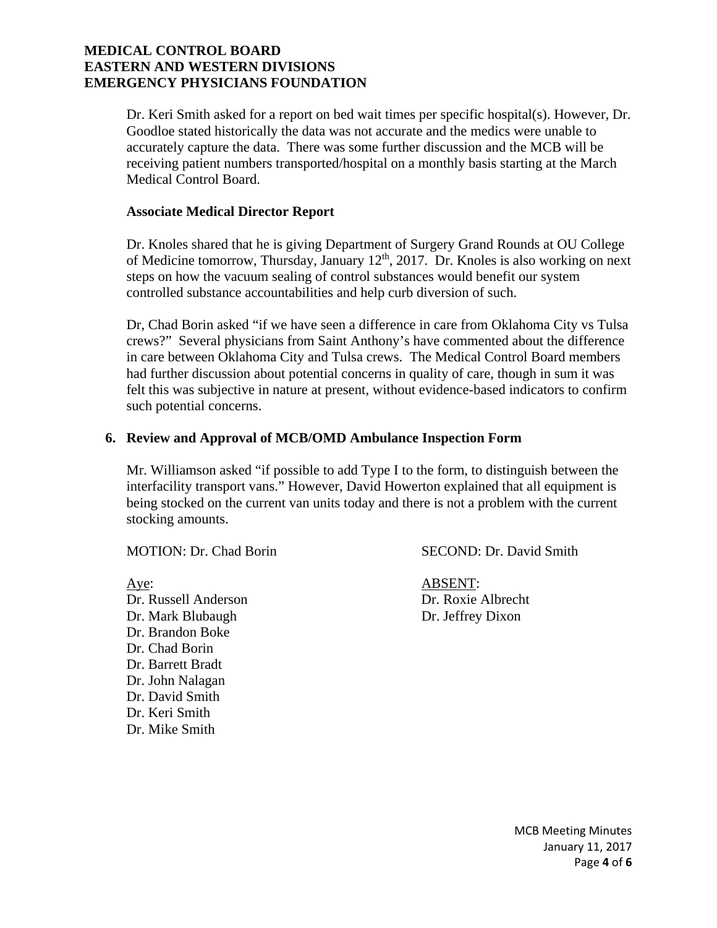Dr. Keri Smith asked for a report on bed wait times per specific hospital(s). However, Dr. Goodloe stated historically the data was not accurate and the medics were unable to accurately capture the data. There was some further discussion and the MCB will be receiving patient numbers transported/hospital on a monthly basis starting at the March Medical Control Board.

#### **Associate Medical Director Report**

Dr. Knoles shared that he is giving Department of Surgery Grand Rounds at OU College of Medicine tomorrow, Thursday, January 12th, 2017. Dr. Knoles is also working on next steps on how the vacuum sealing of control substances would benefit our system controlled substance accountabilities and help curb diversion of such.

Dr, Chad Borin asked "if we have seen a difference in care from Oklahoma City vs Tulsa crews?" Several physicians from Saint Anthony's have commented about the difference in care between Oklahoma City and Tulsa crews. The Medical Control Board members had further discussion about potential concerns in quality of care, though in sum it was felt this was subjective in nature at present, without evidence-based indicators to confirm such potential concerns.

#### **6. Review and Approval of MCB/OMD Ambulance Inspection Form**

Mr. Williamson asked "if possible to add Type I to the form, to distinguish between the interfacility transport vans." However, David Howerton explained that all equipment is being stocked on the current van units today and there is not a problem with the current stocking amounts.

Aye: ABSENT: Dr. Russell Anderson Dr. Roxie Albrecht Dr. Mark Blubaugh Dr. Jeffrey Dixon Dr. Brandon Boke Dr. Chad Borin Dr. Barrett Bradt Dr. John Nalagan Dr. David Smith Dr. Keri Smith Dr. Mike Smith

MOTION: Dr. Chad Borin SECOND: Dr. David Smith

MCB Meeting Minutes January 11, 2017 Page **4** of **6**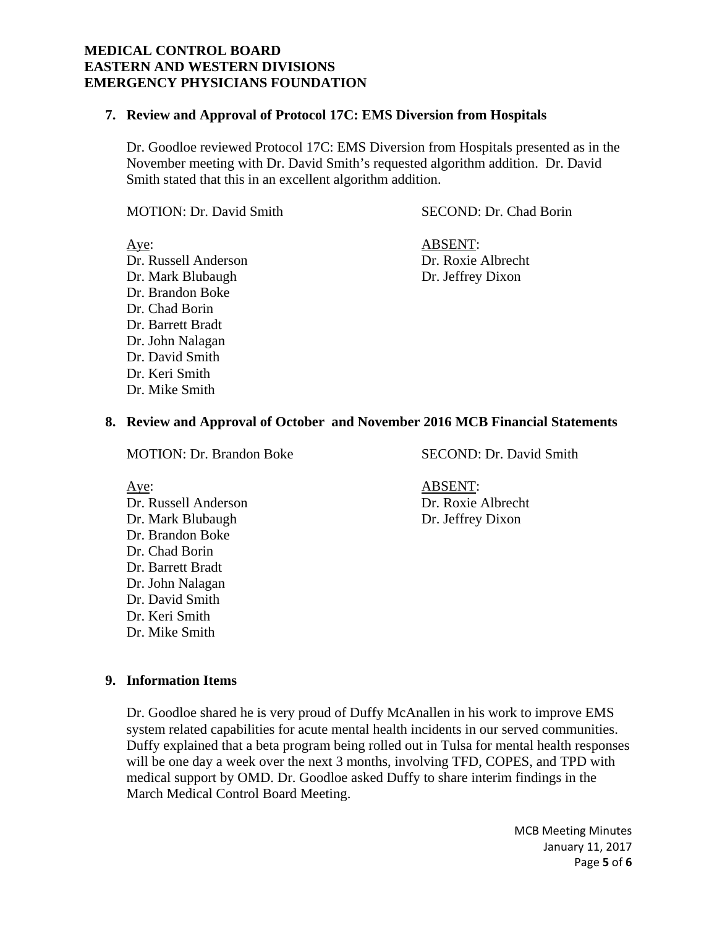#### **7. Review and Approval of Protocol 17C: EMS Diversion from Hospitals**

Dr. Goodloe reviewed Protocol 17C: EMS Diversion from Hospitals presented as in the November meeting with Dr. David Smith's requested algorithm addition. Dr. David Smith stated that this in an excellent algorithm addition.

MOTION: Dr. David Smith SECOND: Dr. Chad Borin

Dr. Russell Anderson Dr. Mark Blubaugh Dr. Jeffrey Dixon Dr. Brandon Boke Dr. Chad Borin Dr. Barrett Bradt Dr. John Nalagan Dr. David Smith Dr. Keri Smith Dr. Mike Smith

Aye:<br>
Dr. Russell Anderson<br>
Dr. Roxie Albrecht

## **8. Review and Approval of October and November 2016 MCB Financial Statements**

MOTION: Dr. Brandon Boke SECOND: Dr. David Smith

Dr. Russell Anderson Dr. Roxie Albrecht Dr. Mark Blubaugh Dr. Jeffrey Dixon Dr. Brandon Boke Dr. Chad Borin Dr. Barrett Bradt Dr. John Nalagan Dr. David Smith Dr. Keri Smith Dr. Mike Smith

Aye: ABSENT:

### **9. Information Items**

Dr. Goodloe shared he is very proud of Duffy McAnallen in his work to improve EMS system related capabilities for acute mental health incidents in our served communities. Duffy explained that a beta program being rolled out in Tulsa for mental health responses will be one day a week over the next 3 months, involving TFD, COPES, and TPD with medical support by OMD. Dr. Goodloe asked Duffy to share interim findings in the March Medical Control Board Meeting.

> MCB Meeting Minutes January 11, 2017 Page **5** of **6**